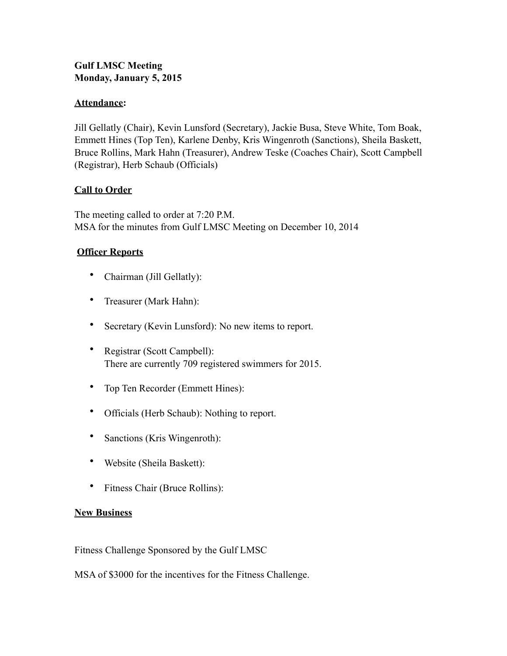# **Gulf LMSC Meeting Monday, January 5, 2015**

## **Attendance:**

Jill Gellatly (Chair), Kevin Lunsford (Secretary), Jackie Busa, Steve White, Tom Boak, Emmett Hines (Top Ten), Karlene Denby, Kris Wingenroth (Sanctions), Sheila Baskett, Bruce Rollins, Mark Hahn (Treasurer), Andrew Teske (Coaches Chair), Scott Campbell (Registrar), Herb Schaub (Officials)

## **Call to Order**

The meeting called to order at 7:20 P.M. MSA for the minutes from Gulf LMSC Meeting on December 10, 2014

## **Officer Reports**

- Chairman (Jill Gellatly):
- Treasurer (Mark Hahn):
- Secretary (Kevin Lunsford): No new items to report.
- Registrar (Scott Campbell): There are currently 709 registered swimmers for 2015.
- Top Ten Recorder (Emmett Hines):
- Officials (Herb Schaub): Nothing to report.
- Sanctions (Kris Wingenroth):
- Website (Sheila Baskett):
- Fitness Chair (Bruce Rollins):

### **New Business**

Fitness Challenge Sponsored by the Gulf LMSC

MSA of \$3000 for the incentives for the Fitness Challenge.